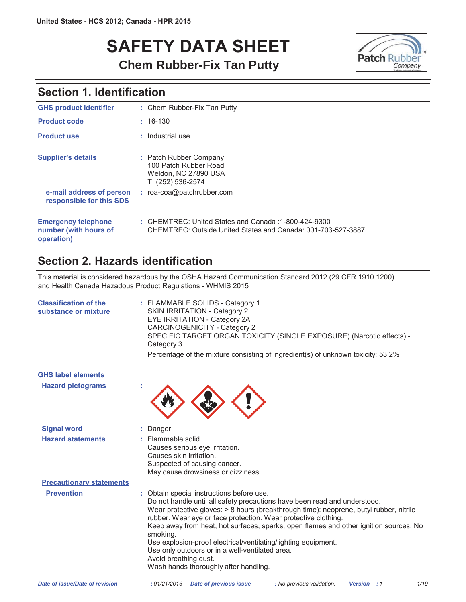# **SAFETY DATA SHEET Chem Rubber-Fix Tan Putty**



# **Section 1. Identification**

| <b>GHS product identifier</b>                                     | : Chem Rubber-Fix Tan Putty                                                                                          |
|-------------------------------------------------------------------|----------------------------------------------------------------------------------------------------------------------|
| <b>Product code</b>                                               | $: 16-130$                                                                                                           |
| <b>Product use</b>                                                | : Industrial use                                                                                                     |
| <b>Supplier's details</b>                                         | : Patch Rubber Company<br>100 Patch Rubber Road<br>Weldon, NC 27890 USA<br>T: (252) 536-2574                         |
| e-mail address of person<br>responsible for this SDS              | : roa-coa@patchrubber.com                                                                                            |
| <b>Emergency telephone</b><br>number (with hours of<br>operation) | : CHEMTREC: United States and Canada: 1-800-424-9300<br>CHEMTREC: Outside United States and Canada: 001-703-527-3887 |

# Section 2. Hazards identification

This material is considered hazardous by the OSHA Hazard Communication Standard 2012 (29 CFR 1910.1200) and Health Canada Hazadous Product Regulations - WHMIS 2015

| <b>Classification of the</b><br>substance or mixture | : FLAMMABLE SOLIDS - Category 1<br><b>SKIN IRRITATION - Category 2</b><br>EYE IRRITATION - Category 2A<br>CARCINOGENICITY - Category 2<br>SPECIFIC TARGET ORGAN TOXICITY (SINGLE EXPOSURE) (Narcotic effects) -<br>Category 3<br>Percentage of the mixture consisting of ingredient(s) of unknown toxicity: 53.2%                                                                                                                                                                                                                                                            |
|------------------------------------------------------|------------------------------------------------------------------------------------------------------------------------------------------------------------------------------------------------------------------------------------------------------------------------------------------------------------------------------------------------------------------------------------------------------------------------------------------------------------------------------------------------------------------------------------------------------------------------------|
| <b>GHS label elements</b>                            |                                                                                                                                                                                                                                                                                                                                                                                                                                                                                                                                                                              |
| <b>Hazard pictograms</b>                             |                                                                                                                                                                                                                                                                                                                                                                                                                                                                                                                                                                              |
| <b>Signal word</b>                                   | Danger                                                                                                                                                                                                                                                                                                                                                                                                                                                                                                                                                                       |
| <b>Hazard statements</b>                             | : Flammable solid.<br>Causes serious eye irritation.<br>Causes skin irritation.<br>Suspected of causing cancer.<br>May cause drowsiness or dizziness.                                                                                                                                                                                                                                                                                                                                                                                                                        |
| <b>Precautionary statements</b>                      |                                                                                                                                                                                                                                                                                                                                                                                                                                                                                                                                                                              |
| <b>Prevention</b>                                    | Obtain special instructions before use.<br>Do not handle until all safety precautions have been read and understood.<br>Wear protective gloves: > 8 hours (breakthrough time): neoprene, butyl rubber, nitrile<br>rubber. Wear eye or face protection. Wear protective clothing.<br>Keep away from heat, hot surfaces, sparks, open flames and other ignition sources. No<br>smoking.<br>Use explosion-proof electrical/ventilating/lighting equipment.<br>Use only outdoors or in a well-ventilated area.<br>Avoid breathing dust.<br>Wash hands thoroughly after handling. |
| <b>Date of issue/Date of revision</b>                | :01/21/2016<br><b>Version</b><br>1/<br>Date of previous issue<br>: No previous validation.<br>$\cdot$ :1                                                                                                                                                                                                                                                                                                                                                                                                                                                                     |

 $1/19$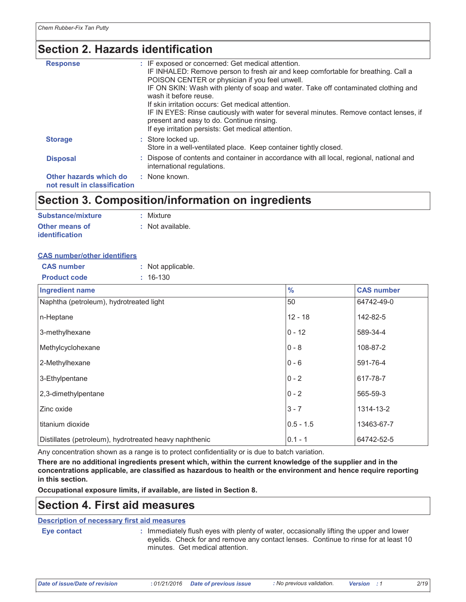# **Section 2. Hazards identification**

| <b>Response</b>                                        | : IF exposed or concerned: Get medical attention.<br>IF INHALED: Remove person to fresh air and keep comfortable for breathing. Call a<br>POISON CENTER or physician if you feel unwell.<br>IF ON SKIN: Wash with plenty of soap and water. Take off contaminated clothing and<br>wash it before reuse.<br>If skin irritation occurs: Get medical attention.<br>IF IN EYES: Rinse cautiously with water for several minutes. Remove contact lenses, if<br>present and easy to do. Continue rinsing.<br>If eye irritation persists: Get medical attention. |
|--------------------------------------------------------|-----------------------------------------------------------------------------------------------------------------------------------------------------------------------------------------------------------------------------------------------------------------------------------------------------------------------------------------------------------------------------------------------------------------------------------------------------------------------------------------------------------------------------------------------------------|
| <b>Storage</b>                                         | : Store locked up.<br>Store in a well-ventilated place. Keep container tightly closed.                                                                                                                                                                                                                                                                                                                                                                                                                                                                    |
| <b>Disposal</b>                                        | : Dispose of contents and container in accordance with all local, regional, national and<br>international regulations.                                                                                                                                                                                                                                                                                                                                                                                                                                    |
| Other hazards which do<br>not result in classification | : None known.                                                                                                                                                                                                                                                                                                                                                                                                                                                                                                                                             |

## Section 3. Composition/information on ingredients

| Substance/mixture     | : Mixture        |
|-----------------------|------------------|
| Other means of        | : Not available. |
| <b>identification</b> |                  |

## **CAS number/other identifiers**

| <b>CAS number</b><br>: Not applicable.                 |               |                   |
|--------------------------------------------------------|---------------|-------------------|
| <b>Product code</b><br>$: 16-130$                      |               |                   |
| <b>Ingredient name</b>                                 | $\frac{9}{6}$ | <b>CAS number</b> |
| Naphtha (petroleum), hydrotreated light                | 50            | 64742-49-0        |
| n-Heptane                                              | $12 - 18$     | 142-82-5          |
| 3-methylhexane                                         | $0 - 12$      | 589-34-4          |
| Methylcyclohexane                                      | $0 - 8$       | 108-87-2          |
| 2-Methylhexane                                         | $0 - 6$       | 591-76-4          |
| 3-Ethylpentane                                         | $0 - 2$       | 617-78-7          |
| 2,3-dimethylpentane                                    | $0 - 2$       | 565-59-3          |
| Zinc oxide                                             | $3 - 7$       | 1314-13-2         |
| l titanium dioxide                                     | $0.5 - 1.5$   | 13463-67-7        |
| Distillates (petroleum), hydrotreated heavy naphthenic | $0.1 - 1$     | 64742-52-5        |

Any concentration shown as a range is to protect confidentiality or is due to batch variation.

There are no additional ingredients present which, within the current knowledge of the supplier and in the concentrations applicable, are classified as hazardous to health or the environment and hence require reporting in this section.

Occupational exposure limits, if available, are listed in Section 8.

## **Section 4. First aid measures**

## **Description of necessary first aid measures**

Eye contact

: Immediately flush eyes with plenty of water, occasionally lifting the upper and lower eyelids. Check for and remove any contact lenses. Continue to rinse for at least 10 minutes. Get medical attention.

**Date of issue/Date of revision**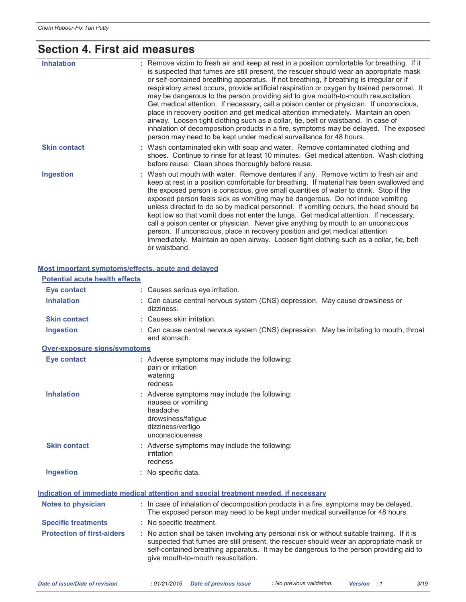# Section 4. First aid measures

| <b>Inhalation</b>   | : Remove victim to fresh air and keep at rest in a position comfortable for breathing. If it<br>is suspected that fumes are still present, the rescuer should wear an appropriate mask<br>or self-contained breathing apparatus. If not breathing, if breathing is irregular or if<br>respiratory arrest occurs, provide artificial respiration or oxygen by trained personnel. It<br>may be dangerous to the person providing aid to give mouth-to-mouth resuscitation.<br>Get medical attention. If necessary, call a poison center or physician. If unconscious,<br>place in recovery position and get medical attention immediately. Maintain an open<br>airway. Loosen tight clothing such as a collar, tie, belt or waistband. In case of<br>inhalation of decomposition products in a fire, symptoms may be delayed. The exposed<br>person may need to be kept under medical surveillance for 48 hours. |
|---------------------|----------------------------------------------------------------------------------------------------------------------------------------------------------------------------------------------------------------------------------------------------------------------------------------------------------------------------------------------------------------------------------------------------------------------------------------------------------------------------------------------------------------------------------------------------------------------------------------------------------------------------------------------------------------------------------------------------------------------------------------------------------------------------------------------------------------------------------------------------------------------------------------------------------------|
| <b>Skin contact</b> | : Wash contaminated skin with soap and water. Remove contaminated clothing and<br>shoes. Continue to rinse for at least 10 minutes. Get medical attention. Wash clothing<br>before reuse. Clean shoes thoroughly before reuse.                                                                                                                                                                                                                                                                                                                                                                                                                                                                                                                                                                                                                                                                                 |
| <b>Ingestion</b>    | : Wash out mouth with water. Remove dentures if any. Remove victim to fresh air and<br>keep at rest in a position comfortable for breathing. If material has been swallowed and<br>the exposed person is conscious, give small quantities of water to drink. Stop if the<br>exposed person feels sick as vomiting may be dangerous. Do not induce vomiting<br>unless directed to do so by medical personnel. If vomiting occurs, the head should be<br>kept low so that vomit does not enter the lungs. Get medical attention. If necessary,<br>call a poison center or physician. Never give anything by mouth to an unconscious<br>person. If unconscious, place in recovery position and get medical attention<br>immediately. Maintain an open airway. Loosen tight clothing such as a collar, tie, belt<br>or waistband.                                                                                  |

## Most important symptoms/effects, acute and delayed

| <b>Potential acute health effects</b> |                                                                                                                                                                                                                                                                                                                         |
|---------------------------------------|-------------------------------------------------------------------------------------------------------------------------------------------------------------------------------------------------------------------------------------------------------------------------------------------------------------------------|
| Eye contact                           | : Causes serious eye irritation.                                                                                                                                                                                                                                                                                        |
| <b>Inhalation</b>                     | : Can cause central nervous system (CNS) depression. May cause drowsiness or<br>dizziness.                                                                                                                                                                                                                              |
| <b>Skin contact</b>                   | : Causes skin irritation.                                                                                                                                                                                                                                                                                               |
| <b>Ingestion</b>                      | : Can cause central nervous system (CNS) depression. May be irritating to mouth, throat<br>and stomach.                                                                                                                                                                                                                 |
| Over-exposure signs/symptoms          |                                                                                                                                                                                                                                                                                                                         |
| <b>Eye contact</b>                    | : Adverse symptoms may include the following:<br>pain or irritation<br>watering<br>redness                                                                                                                                                                                                                              |
| <b>Inhalation</b>                     | : Adverse symptoms may include the following:<br>nausea or vomiting<br>headache<br>drowsiness/fatigue<br>dizziness/vertigo<br>unconsciousness                                                                                                                                                                           |
| <b>Skin contact</b>                   | : Adverse symptoms may include the following:<br>irritation<br>redness                                                                                                                                                                                                                                                  |
| <b>Ingestion</b>                      | : No specific data.                                                                                                                                                                                                                                                                                                     |
|                                       | Indication of immediate medical attention and special treatment needed, if necessary                                                                                                                                                                                                                                    |
| <b>Notes to physician</b>             | : In case of inhalation of decomposition products in a fire, symptoms may be delayed.<br>The exposed person may need to be kept under medical surveillance for 48 hours.                                                                                                                                                |
| <b>Specific treatments</b>            | : No specific treatment.                                                                                                                                                                                                                                                                                                |
| <b>Protection of first-aiders</b>     | : No action shall be taken involving any personal risk or without suitable training. If it is<br>suspected that fumes are still present, the rescuer should wear an appropriate mask or<br>self-contained breathing apparatus. It may be dangerous to the person providing aid to<br>give mouth-to-mouth resuscitation. |

**Date of issue/Date of revision**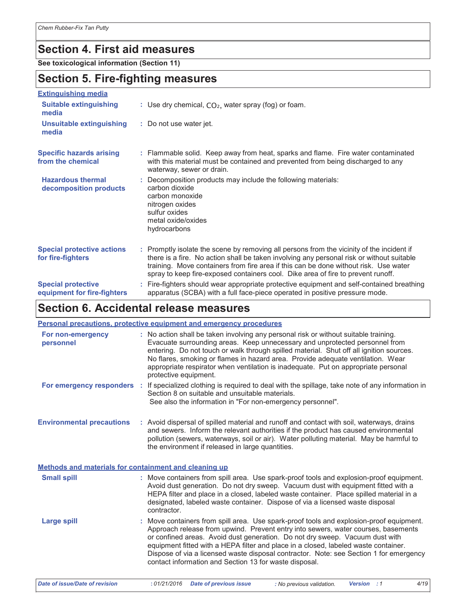## **Section 4. First aid measures**

See toxicological information (Section 11)

## **Section 5. Fire-fighting measures**

| <b>Extinguishing media</b>                               |                                                                                                                                                                                                                                                                                                                                                                    |
|----------------------------------------------------------|--------------------------------------------------------------------------------------------------------------------------------------------------------------------------------------------------------------------------------------------------------------------------------------------------------------------------------------------------------------------|
| <b>Suitable extinguishing</b><br>media                   | : Use dry chemical, $CO2$ , water spray (fog) or foam.                                                                                                                                                                                                                                                                                                             |
| <b>Unsuitable extinguishing</b><br>media                 | : Do not use water jet.                                                                                                                                                                                                                                                                                                                                            |
| <b>Specific hazards arising</b><br>from the chemical     | : Flammable solid. Keep away from heat, sparks and flame. Fire water contaminated<br>with this material must be contained and prevented from being discharged to any<br>waterway, sewer or drain.                                                                                                                                                                  |
| <b>Hazardous thermal</b><br>decomposition products       | : Decomposition products may include the following materials:<br>carbon dioxide<br>carbon monoxide<br>nitrogen oxides<br>sulfur oxides<br>metal oxide/oxides<br>hydrocarbons                                                                                                                                                                                       |
| <b>Special protective actions</b><br>for fire-fighters   | : Promptly isolate the scene by removing all persons from the vicinity of the incident if<br>there is a fire. No action shall be taken involving any personal risk or without suitable<br>training. Move containers from fire area if this can be done without risk. Use water<br>spray to keep fire-exposed containers cool. Dike area of fire to prevent runoff. |
| <b>Special protective</b><br>equipment for fire-fighters | : Fire-fighters should wear appropriate protective equipment and self-contained breathing<br>apparatus (SCBA) with a full face-piece operated in positive pressure mode.                                                                                                                                                                                           |

## Section 6. Accidental release measures

|                                                       | Personal precautions, protective equipment and emergency procedures                                                                                                                                                                                                                                                                                                                                                                                                                                     |
|-------------------------------------------------------|---------------------------------------------------------------------------------------------------------------------------------------------------------------------------------------------------------------------------------------------------------------------------------------------------------------------------------------------------------------------------------------------------------------------------------------------------------------------------------------------------------|
| For non-emergency<br>personnel                        | : No action shall be taken involving any personal risk or without suitable training.<br>Evacuate surrounding areas. Keep unnecessary and unprotected personnel from<br>entering. Do not touch or walk through spilled material. Shut off all ignition sources.<br>No flares, smoking or flames in hazard area. Provide adequate ventilation. Wear<br>appropriate respirator when ventilation is inadequate. Put on appropriate personal<br>protective equipment.                                        |
|                                                       | For emergency responders : If specialized clothing is required to deal with the spillage, take note of any information in<br>Section 8 on suitable and unsuitable materials.<br>See also the information in "For non-emergency personnel".                                                                                                                                                                                                                                                              |
| <b>Environmental precautions</b>                      | : Avoid dispersal of spilled material and runoff and contact with soil, waterways, drains<br>and sewers. Inform the relevant authorities if the product has caused environmental<br>pollution (sewers, waterways, soil or air). Water polluting material. May be harmful to<br>the environment if released in large quantities.                                                                                                                                                                         |
| Methods and materials for containment and cleaning up |                                                                                                                                                                                                                                                                                                                                                                                                                                                                                                         |
| <b>Small spill</b>                                    | : Move containers from spill area. Use spark-proof tools and explosion-proof equipment.<br>Avoid dust generation. Do not dry sweep. Vacuum dust with equipment fitted with a<br>HEPA filter and place in a closed, labeled waste container. Place spilled material in a<br>designated, labeled waste container. Dispose of via a licensed waste disposal<br>contractor.                                                                                                                                 |
| <b>Large spill</b>                                    | : Move containers from spill area. Use spark-proof tools and explosion-proof equipment.<br>Approach release from upwind. Prevent entry into sewers, water courses, basements<br>or confined areas. Avoid dust generation. Do not dry sweep. Vacuum dust with<br>equipment fitted with a HEPA filter and place in a closed, labeled waste container.<br>Dispose of via a licensed waste disposal contractor. Note: see Section 1 for emergency<br>contact information and Section 13 for waste disposal. |

Date of issue/Date of revision

 $4/19$ 

Version : 1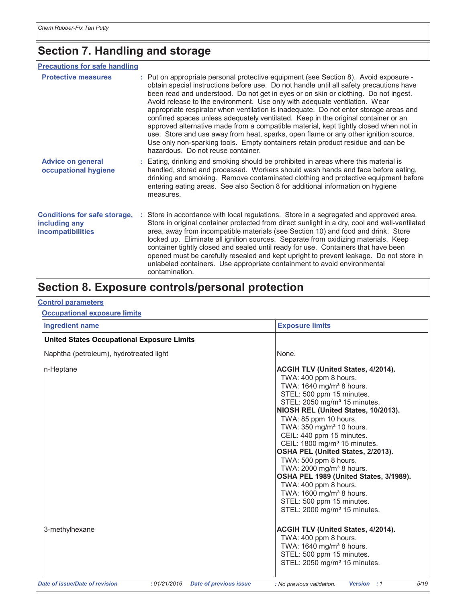# **Section 7. Handling and storage**

## **Precautions for safe handling**

| <b>Protective measures</b>                                                | : Put on appropriate personal protective equipment (see Section 8). Avoid exposure -<br>obtain special instructions before use. Do not handle until all safety precautions have<br>been read and understood. Do not get in eyes or on skin or clothing. Do not ingest.<br>Avoid release to the environment. Use only with adequate ventilation. Wear<br>appropriate respirator when ventilation is inadequate. Do not enter storage areas and<br>confined spaces unless adequately ventilated. Keep in the original container or an<br>approved alternative made from a compatible material, kept tightly closed when not in<br>use. Store and use away from heat, sparks, open flame or any other ignition source.<br>Use only non-sparking tools. Empty containers retain product residue and can be<br>hazardous. Do not reuse container. |
|---------------------------------------------------------------------------|----------------------------------------------------------------------------------------------------------------------------------------------------------------------------------------------------------------------------------------------------------------------------------------------------------------------------------------------------------------------------------------------------------------------------------------------------------------------------------------------------------------------------------------------------------------------------------------------------------------------------------------------------------------------------------------------------------------------------------------------------------------------------------------------------------------------------------------------|
| <b>Advice on general</b><br>occupational hygiene                          | : Eating, drinking and smoking should be prohibited in areas where this material is<br>handled, stored and processed. Workers should wash hands and face before eating,<br>drinking and smoking. Remove contaminated clothing and protective equipment before<br>entering eating areas. See also Section 8 for additional information on hygiene<br>measures.                                                                                                                                                                                                                                                                                                                                                                                                                                                                                |
| <b>Conditions for safe storage,</b><br>including any<br>incompatibilities | : Store in accordance with local regulations. Store in a segregated and approved area.<br>Store in original container protected from direct sunlight in a dry, cool and well-ventilated<br>area, away from incompatible materials (see Section 10) and food and drink. Store<br>locked up. Eliminate all ignition sources. Separate from oxidizing materials. Keep<br>container tightly closed and sealed until ready for use. Containers that have been<br>opened must be carefully resealed and kept upright to prevent leakage. Do not store in<br>unlabeled containers. Use appropriate containment to avoid environmental<br>contamination.                                                                                                                                                                                             |

# Section 8. Exposure controls/personal protection

### **Control parameters**

## **Occupational exposure limits**

| <b>Ingredient name</b>                            |                                              | <b>Exposure limits</b>                                                                                                                                                                                                                                                                                                                                                                                                                                                                                                                                                                                                                                         |
|---------------------------------------------------|----------------------------------------------|----------------------------------------------------------------------------------------------------------------------------------------------------------------------------------------------------------------------------------------------------------------------------------------------------------------------------------------------------------------------------------------------------------------------------------------------------------------------------------------------------------------------------------------------------------------------------------------------------------------------------------------------------------------|
| <b>United States Occupational Exposure Limits</b> |                                              |                                                                                                                                                                                                                                                                                                                                                                                                                                                                                                                                                                                                                                                                |
| Naphtha (petroleum), hydrotreated light           |                                              | None.                                                                                                                                                                                                                                                                                                                                                                                                                                                                                                                                                                                                                                                          |
| n-Heptane                                         |                                              | <b>ACGIH TLV (United States, 4/2014).</b><br>TWA: 400 ppm 8 hours.<br>TWA: 1640 mg/m <sup>3</sup> 8 hours.<br>STEL: 500 ppm 15 minutes.<br>STEL: 2050 mg/m <sup>3</sup> 15 minutes.<br>NIOSH REL (United States, 10/2013).<br>TWA: 85 ppm 10 hours.<br>TWA: 350 mg/m <sup>3</sup> 10 hours.<br>CEIL: 440 ppm 15 minutes.<br>CEIL: 1800 mg/m <sup>3</sup> 15 minutes.<br>OSHA PEL (United States, 2/2013).<br>TWA: 500 ppm 8 hours.<br>TWA: 2000 mg/m <sup>3</sup> 8 hours.<br>OSHA PEL 1989 (United States, 3/1989).<br>TWA: 400 ppm 8 hours.<br>TWA: 1600 mg/m <sup>3</sup> 8 hours.<br>STEL: 500 ppm 15 minutes.<br>STEL: 2000 mg/m <sup>3</sup> 15 minutes. |
| 3-methylhexane                                    |                                              | <b>ACGIH TLV (United States, 4/2014).</b><br>TWA: 400 ppm 8 hours.<br>TWA: 1640 mg/m <sup>3</sup> 8 hours.<br>STEL: 500 ppm 15 minutes.<br>STEL: 2050 mg/m <sup>3</sup> 15 minutes.                                                                                                                                                                                                                                                                                                                                                                                                                                                                            |
| <b>Date of issue/Date of revision</b>             | :01/21/2016<br><b>Date of previous issue</b> | 5/19<br>: No previous validation.<br>Version : 1                                                                                                                                                                                                                                                                                                                                                                                                                                                                                                                                                                                                               |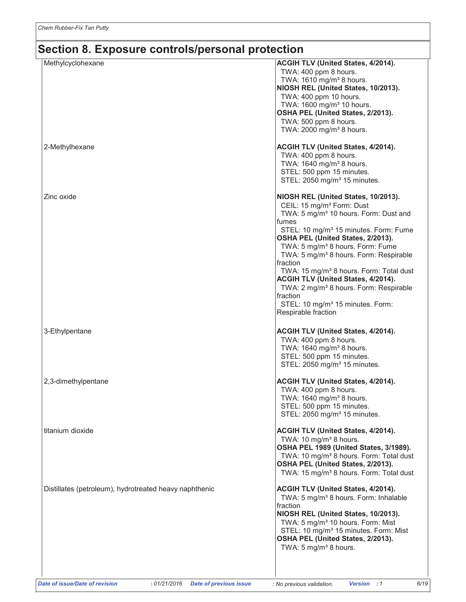| Methylcyclohexane                                      | ACGIH TLV (United States, 4/2014).<br>TWA: 400 ppm 8 hours.<br>TWA: 1610 mg/m <sup>3</sup> 8 hours.<br>NIOSH REL (United States, 10/2013).<br>TWA: 400 ppm 10 hours.<br>TWA: 1600 mg/m <sup>3</sup> 10 hours.<br>OSHA PEL (United States, 2/2013).<br>TWA: 500 ppm 8 hours.<br>TWA: 2000 mg/m <sup>3</sup> 8 hours.                                                                                                                                                                                                                                                                          |
|--------------------------------------------------------|----------------------------------------------------------------------------------------------------------------------------------------------------------------------------------------------------------------------------------------------------------------------------------------------------------------------------------------------------------------------------------------------------------------------------------------------------------------------------------------------------------------------------------------------------------------------------------------------|
| 2-Methylhexane                                         | ACGIH TLV (United States, 4/2014).<br>TWA: 400 ppm 8 hours.<br>TWA: 1640 mg/m <sup>3</sup> 8 hours.<br>STEL: 500 ppm 15 minutes.<br>STEL: 2050 mg/m <sup>3</sup> 15 minutes.                                                                                                                                                                                                                                                                                                                                                                                                                 |
| Zinc oxide                                             | NIOSH REL (United States, 10/2013).<br>CEIL: 15 mg/m <sup>3</sup> Form: Dust<br>TWA: 5 mg/m <sup>3</sup> 10 hours. Form: Dust and<br>fumes<br>STEL: 10 mg/m <sup>3</sup> 15 minutes. Form: Fume<br>OSHA PEL (United States, 2/2013).<br>TWA: 5 mg/m <sup>3</sup> 8 hours. Form: Fume<br>TWA: 5 mg/m <sup>3</sup> 8 hours. Form: Respirable<br>fraction<br>TWA: 15 mg/m <sup>3</sup> 8 hours. Form: Total dust<br>ACGIH TLV (United States, 4/2014).<br>TWA: 2 mg/m <sup>3</sup> 8 hours. Form: Respirable<br>fraction<br>STEL: 10 mg/m <sup>3</sup> 15 minutes. Form:<br>Respirable fraction |
| 3-Ethylpentane                                         | ACGIH TLV (United States, 4/2014).<br>TWA: 400 ppm 8 hours.<br>TWA: 1640 mg/m <sup>3</sup> 8 hours.<br>STEL: 500 ppm 15 minutes.<br>STEL: 2050 mg/m <sup>3</sup> 15 minutes.                                                                                                                                                                                                                                                                                                                                                                                                                 |
| 2,3-dimethylpentane                                    | ACGIH TLV (United States, 4/2014).<br>TWA: 400 ppm 8 hours.<br>TWA: 1640 mg/m <sup>3</sup> 8 hours.<br>STEL: 500 ppm 15 minutes.<br>STEL: 2050 mg/m <sup>3</sup> 15 minutes.                                                                                                                                                                                                                                                                                                                                                                                                                 |
| titanium dioxide                                       | ACGIH TLV (United States, 4/2014).<br>TWA: 10 mg/m <sup>3</sup> 8 hours.<br>OSHA PEL 1989 (United States, 3/1989).<br>TWA: 10 mg/m <sup>3</sup> 8 hours. Form: Total dust<br>OSHA PEL (United States, 2/2013).<br>TWA: 15 mg/m <sup>3</sup> 8 hours. Form: Total dust                                                                                                                                                                                                                                                                                                                        |
| Distillates (petroleum), hydrotreated heavy naphthenic | ACGIH TLV (United States, 4/2014).<br>TWA: 5 mg/m <sup>3</sup> 8 hours. Form: Inhalable<br>fraction<br>NIOSH REL (United States, 10/2013).<br>TWA: 5 mg/m <sup>3</sup> 10 hours. Form: Mist<br>STEL: 10 mg/m <sup>3</sup> 15 minutes. Form: Mist<br>OSHA PEL (United States, 2/2013).<br>TWA: 5 mg/m <sup>3</sup> 8 hours.                                                                                                                                                                                                                                                                   |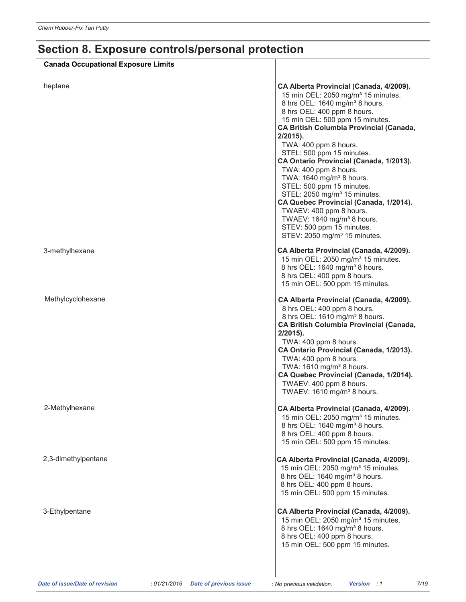| <b>Canada Occupational Exposure Limits</b> |                                                                                                                                                                                                                                                                                                                                                                                                                                                                                                                                                                                                                                                                                                               |
|--------------------------------------------|---------------------------------------------------------------------------------------------------------------------------------------------------------------------------------------------------------------------------------------------------------------------------------------------------------------------------------------------------------------------------------------------------------------------------------------------------------------------------------------------------------------------------------------------------------------------------------------------------------------------------------------------------------------------------------------------------------------|
| heptane                                    | CA Alberta Provincial (Canada, 4/2009).<br>15 min OEL: 2050 mg/m <sup>3</sup> 15 minutes.<br>8 hrs OEL: 1640 mg/m <sup>3</sup> 8 hours.<br>8 hrs OEL: 400 ppm 8 hours.<br>15 min OEL: 500 ppm 15 minutes.<br><b>CA British Columbia Provincial (Canada,</b><br>$2/2015$ ).<br>TWA: 400 ppm 8 hours.<br>STEL: 500 ppm 15 minutes.<br>CA Ontario Provincial (Canada, 1/2013).<br>TWA: 400 ppm 8 hours.<br>TWA: 1640 mg/m <sup>3</sup> 8 hours.<br>STEL: 500 ppm 15 minutes.<br>STEL: 2050 mg/m <sup>3</sup> 15 minutes.<br>CA Quebec Provincial (Canada, 1/2014).<br>TWAEV: 400 ppm 8 hours.<br>TWAEV: 1640 mg/m <sup>3</sup> 8 hours.<br>STEV: 500 ppm 15 minutes.<br>STEV: 2050 mg/m <sup>3</sup> 15 minutes. |
| 3-methylhexane                             | CA Alberta Provincial (Canada, 4/2009).<br>15 min OEL: 2050 mg/m <sup>3</sup> 15 minutes.<br>8 hrs OEL: 1640 mg/m <sup>3</sup> 8 hours.<br>8 hrs OEL: 400 ppm 8 hours.<br>15 min OEL: 500 ppm 15 minutes.                                                                                                                                                                                                                                                                                                                                                                                                                                                                                                     |
| Methylcyclohexane                          | CA Alberta Provincial (Canada, 4/2009).<br>8 hrs OEL: 400 ppm 8 hours.<br>8 hrs OEL: 1610 mg/m <sup>3</sup> 8 hours.<br><b>CA British Columbia Provincial (Canada,</b><br>$2/2015$ ).<br>TWA: 400 ppm 8 hours.<br>CA Ontario Provincial (Canada, 1/2013).<br>TWA: 400 ppm 8 hours.<br>TWA: 1610 mg/m <sup>3</sup> 8 hours.<br>CA Quebec Provincial (Canada, 1/2014).<br>TWAEV: 400 ppm 8 hours.<br>TWAEV: 1610 mg/m <sup>3</sup> 8 hours.                                                                                                                                                                                                                                                                     |
| 2-Methylhexane                             | CA Alberta Provincial (Canada, 4/2009).<br>15 min OEL: 2050 mg/m <sup>3</sup> 15 minutes.<br>8 hrs OEL: 1640 mg/m <sup>3</sup> 8 hours.<br>8 hrs OEL: 400 ppm 8 hours.<br>15 min OEL: 500 ppm 15 minutes.                                                                                                                                                                                                                                                                                                                                                                                                                                                                                                     |
| 2,3-dimethylpentane                        | CA Alberta Provincial (Canada, 4/2009).<br>15 min OEL: 2050 mg/m <sup>3</sup> 15 minutes.<br>8 hrs OEL: 1640 mg/m <sup>3</sup> 8 hours.<br>8 hrs OEL: 400 ppm 8 hours.<br>15 min OEL: 500 ppm 15 minutes.                                                                                                                                                                                                                                                                                                                                                                                                                                                                                                     |
| 3-Ethylpentane                             | CA Alberta Provincial (Canada, 4/2009).<br>15 min OEL: 2050 mg/m <sup>3</sup> 15 minutes.<br>8 hrs OEL: 1640 mg/m <sup>3</sup> 8 hours.<br>8 hrs OEL: 400 ppm 8 hours.<br>15 min OEL: 500 ppm 15 minutes.                                                                                                                                                                                                                                                                                                                                                                                                                                                                                                     |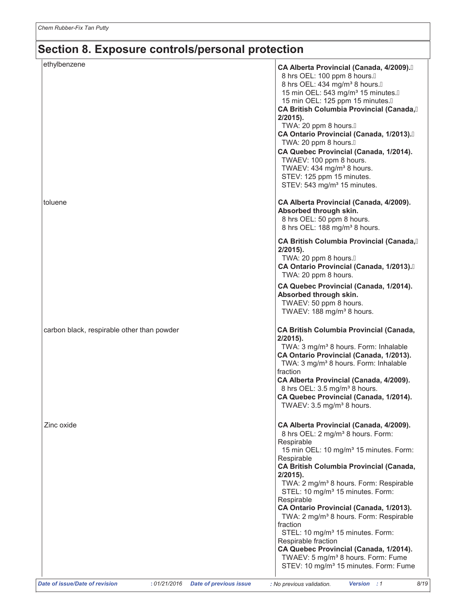| ethylbenzene                               | CA Alberta Provincial (Canada, 4/2009).<br>8 hrs OEL: 100 ppm 8 hours. A<br>8 hrs OEL: 434 mg/m <sup>3</sup> 8 hours. A<br>15 min OEL: 543 mg/m <sup>3</sup> 15 minutes.A<br>15 min OEL: 125 ppm 15 minutes. A<br>CA British Columbia Provincial (Canada,<br>$2/2015$ ).<br>TWA: 20 ppm 8 hours.A<br>CA Ontario Provincial (Canada, 1/2013).<br>TWA: 20 ppm 8 hours.A<br>CA Quebec Provincial (Canada, 1/2014). |
|--------------------------------------------|-----------------------------------------------------------------------------------------------------------------------------------------------------------------------------------------------------------------------------------------------------------------------------------------------------------------------------------------------------------------------------------------------------------------|
| toluene                                    | TWAEV: 100 ppm 8 hours.<br>TWAEV: 434 mg/m <sup>3</sup> 8 hours.<br>STEV: 125 ppm 15 minutes.<br>STEV: 543 mg/m <sup>3</sup> 15 minutes.<br>CA Alberta Provincial (Canada, 4/2009).                                                                                                                                                                                                                             |
|                                            | Absorbed through skin.<br>8 hrs OEL: 50 ppm 8 hours.<br>8 hrs OEL: 188 mg/m <sup>3</sup> 8 hours.                                                                                                                                                                                                                                                                                                               |
|                                            | <b>CA British Columbia Provincial (Canada,</b><br>$2/2015$ ).<br>TWA: 20 ppm 8 hours.A<br>CA Ontario Provincial (Canada, 1/2013).<br>TWA: 20 ppm 8 hours.                                                                                                                                                                                                                                                       |
|                                            | CA Quebec Provincial (Canada, 1/2014).<br>Absorbed through skin.<br>TWAEV: 50 ppm 8 hours.<br>TWAEV: 188 mg/m <sup>3</sup> 8 hours.                                                                                                                                                                                                                                                                             |
| carbon black, respirable other than powder | <b>CA British Columbia Provincial (Canada,</b><br>$2/2015$ ).<br>TWA: 3 mg/m <sup>3</sup> 8 hours. Form: Inhalable<br>CA Ontario Provincial (Canada, 1/2013).<br>TWA: 3 mg/m <sup>3</sup> 8 hours. Form: Inhalable<br>fraction<br>CA Alberta Provincial (Canada, 4/2009).                                                                                                                                       |
|                                            | 8 hrs OEL: 3.5 mg/m <sup>3</sup> 8 hours.<br>CA Quebec Provincial (Canada, 1/2014).<br>TWAEV: 3.5 mg/m <sup>3</sup> 8 hours.                                                                                                                                                                                                                                                                                    |
| Zinc oxide                                 | CA Alberta Provincial (Canada, 4/2009).<br>8 hrs OEL: 2 mg/m <sup>3</sup> 8 hours. Form:<br>Respirable<br>15 min OEL: 10 mg/m <sup>3</sup> 15 minutes. Form:<br>Respirable<br><b>CA British Columbia Provincial (Canada,</b><br>$2/2015$ ).                                                                                                                                                                     |
|                                            | TWA: 2 mg/m <sup>3</sup> 8 hours. Form: Respirable<br>STEL: 10 mg/m <sup>3</sup> 15 minutes. Form:<br>Respirable<br>CA Ontario Provincial (Canada, 1/2013).<br>TWA: 2 mg/m <sup>3</sup> 8 hours. Form: Respirable<br>fraction                                                                                                                                                                                   |
|                                            | STEL: 10 mg/m <sup>3</sup> 15 minutes. Form:<br>Respirable fraction<br>CA Quebec Provincial (Canada, 1/2014).<br>TWAEV: 5 mg/m <sup>3</sup> 8 hours. Form: Fume<br>STEV: 10 mg/m <sup>3</sup> 15 minutes. Form: Fume                                                                                                                                                                                            |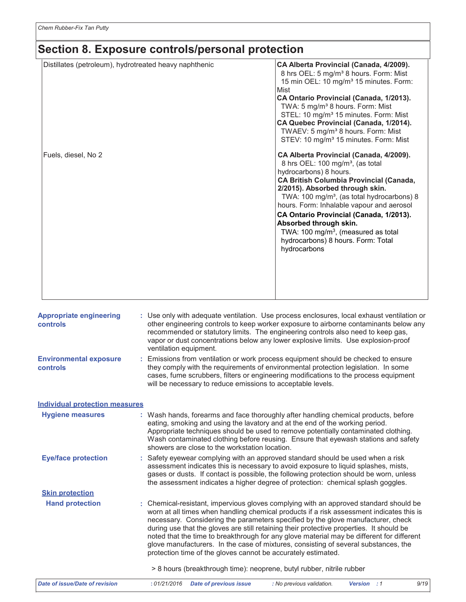| Distillates (petroleum), hydrotreated heavy naphthenic | CA Alberta Provincial (Canada, 4/2009).<br>8 hrs OEL: 5 mg/m <sup>3</sup> 8 hours. Form: Mist<br>15 min OEL: 10 mg/m <sup>3</sup> 15 minutes. Form:<br>Mist<br>CA Ontario Provincial (Canada, 1/2013).<br>TWA: 5 mg/m <sup>3</sup> 8 hours. Form: Mist<br>STEL: 10 mg/m <sup>3</sup> 15 minutes. Form: Mist<br>CA Quebec Provincial (Canada, 1/2014).<br>TWAEV: 5 mg/m <sup>3</sup> 8 hours. Form: Mist<br>STEV: 10 mg/m <sup>3</sup> 15 minutes. Form: Mist                                |
|--------------------------------------------------------|---------------------------------------------------------------------------------------------------------------------------------------------------------------------------------------------------------------------------------------------------------------------------------------------------------------------------------------------------------------------------------------------------------------------------------------------------------------------------------------------|
| Fuels, diesel, No 2                                    | CA Alberta Provincial (Canada, 4/2009).<br>8 hrs OEL: 100 mg/m <sup>3</sup> , (as total<br>hydrocarbons) 8 hours.<br><b>CA British Columbia Provincial (Canada,</b><br>2/2015). Absorbed through skin.<br>TWA: 100 mg/m <sup>3</sup> , (as total hydrocarbons) 8<br>hours. Form: Inhalable vapour and aerosol<br>CA Ontario Provincial (Canada, 1/2013).<br>Absorbed through skin.<br>TWA: 100 mg/m <sup>3</sup> , (measured as total<br>hydrocarbons) 8 hours. Form: Total<br>hydrocarbons |

| <b>Appropriate engineering</b><br>controls | : Use only with adequate ventilation. Use process enclosures, local exhaust ventilation or<br>other engineering controls to keep worker exposure to airborne contaminants below any<br>recommended or statutory limits. The engineering controls also need to keep gas,<br>vapor or dust concentrations below any lower explosive limits. Use explosion-proof<br>ventilation equipment.                                                                                                                                                                                                                                                                                                         |  |  |  |  |  |
|--------------------------------------------|-------------------------------------------------------------------------------------------------------------------------------------------------------------------------------------------------------------------------------------------------------------------------------------------------------------------------------------------------------------------------------------------------------------------------------------------------------------------------------------------------------------------------------------------------------------------------------------------------------------------------------------------------------------------------------------------------|--|--|--|--|--|
| <b>Environmental exposure</b><br>controls  | : Emissions from ventilation or work process equipment should be checked to ensure<br>they comply with the requirements of environmental protection legislation. In some<br>cases, fume scrubbers, filters or engineering modifications to the process equipment<br>will be necessary to reduce emissions to acceptable levels.                                                                                                                                                                                                                                                                                                                                                                 |  |  |  |  |  |
| <b>Individual protection measures</b>      |                                                                                                                                                                                                                                                                                                                                                                                                                                                                                                                                                                                                                                                                                                 |  |  |  |  |  |
| <b>Hygiene measures</b>                    | : Wash hands, forearms and face thoroughly after handling chemical products, before<br>eating, smoking and using the lavatory and at the end of the working period.<br>Appropriate techniques should be used to remove potentially contaminated clothing.<br>Wash contaminated clothing before reusing. Ensure that eyewash stations and safety<br>showers are close to the workstation location.                                                                                                                                                                                                                                                                                               |  |  |  |  |  |
| <b>Eye/face protection</b>                 | : Safety eyewear complying with an approved standard should be used when a risk<br>assessment indicates this is necessary to avoid exposure to liquid splashes, mists,<br>gases or dusts. If contact is possible, the following protection should be worn, unless<br>the assessment indicates a higher degree of protection: chemical splash goggles.                                                                                                                                                                                                                                                                                                                                           |  |  |  |  |  |
| <b>Skin protection</b>                     |                                                                                                                                                                                                                                                                                                                                                                                                                                                                                                                                                                                                                                                                                                 |  |  |  |  |  |
| <b>Hand protection</b>                     | : Chemical-resistant, impervious gloves complying with an approved standard should be<br>worn at all times when handling chemical products if a risk assessment indicates this is<br>necessary. Considering the parameters specified by the glove manufacturer, check<br>during use that the gloves are still retaining their protective properties. It should be<br>noted that the time to breakthrough for any glove material may be different for different<br>glove manufacturers. In the case of mixtures, consisting of several substances, the<br>protection time of the gloves cannot be accurately estimated.<br>> 8 hours (breakthrough time): neoprene, butyl rubber, nitrile rubber |  |  |  |  |  |
| <b>Date of issue/Date of revision</b>      | : No previous validation.<br>9/19<br>:01/21/2016<br><b>Date of previous issue</b><br>Version : 1                                                                                                                                                                                                                                                                                                                                                                                                                                                                                                                                                                                                |  |  |  |  |  |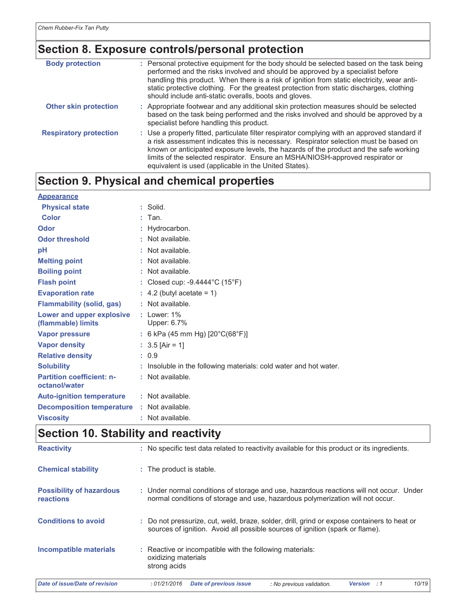| <b>Body protection</b>        | : Personal protective equipment for the body should be selected based on the task being<br>performed and the risks involved and should be approved by a specialist before<br>handling this product. When there is a risk of ignition from static electricity, wear anti-<br>static protective clothing. For the greatest protection from static discharges, clothing<br>should include anti-static overalls, boots and gloves. |
|-------------------------------|--------------------------------------------------------------------------------------------------------------------------------------------------------------------------------------------------------------------------------------------------------------------------------------------------------------------------------------------------------------------------------------------------------------------------------|
| <b>Other skin protection</b>  | : Appropriate footwear and any additional skin protection measures should be selected<br>based on the task being performed and the risks involved and should be approved by a<br>specialist before handling this product.                                                                                                                                                                                                      |
| <b>Respiratory protection</b> | : Use a properly fitted, particulate filter respirator complying with an approved standard if<br>a risk assessment indicates this is necessary. Respirator selection must be based on<br>known or anticipated exposure levels, the hazards of the product and the safe working<br>limits of the selected respirator. Ensure an MSHA/NIOSH-approved respirator or<br>equivalent is used (applicable in the United States).      |

# Section 9. Physical and chemical properties

| <b>Appearance</b>                                 |                                                                   |
|---------------------------------------------------|-------------------------------------------------------------------|
| <b>Physical state</b>                             | $:$ Solid.                                                        |
| <b>Color</b>                                      | $:$ Tan.                                                          |
| Odor                                              | : Hydrocarbon.                                                    |
| <b>Odor threshold</b>                             | : Not available.                                                  |
| pH                                                | : Not available.                                                  |
| <b>Melting point</b>                              | : Not available.                                                  |
| <b>Boiling point</b>                              | : Not available.                                                  |
| <b>Flash point</b>                                | : Closed cup: -9.4444°C (15°F)                                    |
| <b>Evaporation rate</b>                           | $\therefore$ 4.2 (butyl acetate = 1)                              |
| <b>Flammability (solid, gas)</b>                  | : Not available.                                                  |
| Lower and upper explosive<br>(flammable) limits   | $:$ Lower: $1\%$<br>Upper: 6.7%                                   |
| <b>Vapor pressure</b>                             | : 6 kPa (45 mm Hg) $[20^{\circ}C(68^{\circ}F)]$                   |
| <b>Vapor density</b>                              | : $3.5$ [Air = 1]                                                 |
| <b>Relative density</b>                           | : 0.9                                                             |
| <b>Solubility</b>                                 | : Insoluble in the following materials: cold water and hot water. |
| <b>Partition coefficient: n-</b><br>octanol/water | : Not available.                                                  |
| <b>Auto-ignition temperature</b>                  | : Not available.                                                  |
| <b>Decomposition temperature : Not available.</b> |                                                                   |
| <b>Viscosity</b>                                  | : Not available.                                                  |

# Section 10. Stability and reactivity

| Date of issue/Date of revision               | 10/19<br>: 01/21/2016<br>Date of previous issue<br>: No previous validation<br><b>Version</b>                                                                                |  |  |  |  |  |
|----------------------------------------------|------------------------------------------------------------------------------------------------------------------------------------------------------------------------------|--|--|--|--|--|
| Incompatible materials                       | : Reactive or incompatible with the following materials:<br>oxidizing materials<br>strong acids                                                                              |  |  |  |  |  |
| <b>Conditions to avoid</b>                   | : Do not pressurize, cut, weld, braze, solder, drill, grind or expose containers to heat or<br>sources of ignition. Avoid all possible sources of ignition (spark or flame). |  |  |  |  |  |
| <b>Possibility of hazardous</b><br>reactions | : Under normal conditions of storage and use, hazardous reactions will not occur. Under<br>normal conditions of storage and use, hazardous polymerization will not occur.    |  |  |  |  |  |
| <b>Chemical stability</b>                    | : The product is stable.                                                                                                                                                     |  |  |  |  |  |
| <b>Reactivity</b>                            | : No specific test data related to reactivity available for this product or its ingredients.                                                                                 |  |  |  |  |  |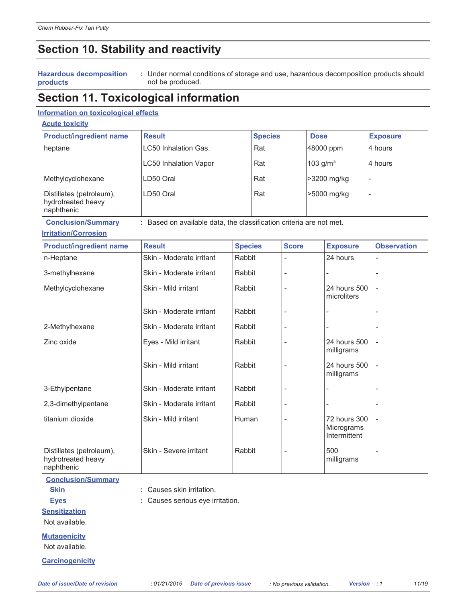# Section 10. Stability and reactivity

#### **Hazardous decomposition** products

: Under normal conditions of storage and use, hazardous decomposition products should not be produced.

# **Section 11. Toxicological information**

## Information on toxicological effects

### **Acute toxicity**

| <b>Product/ingredient name</b>                               | <b>Result</b>               | <b>Species</b> | <b>Dose</b>            | <b>Exposure</b> |
|--------------------------------------------------------------|-----------------------------|----------------|------------------------|-----------------|
| heptane                                                      | <b>LC50 Inhalation Gas.</b> | Rat            | 48000 ppm              | 4 hours         |
|                                                              | LC50 Inhalation Vapor       | Rat            | $103$ g/m <sup>3</sup> | 4 hours         |
| Methylcyclohexane                                            | LD50 Oral                   | Rat            | >3200 mg/kg            |                 |
| Distillates (petroleum),<br>hydrotreated heavy<br>naphthenic | LD50 Oral                   | Rat            | >5000 mg/kg            |                 |

**Conclusion/Summary** : Based on available data, the classification criteria are not met.

: Causes skin irritation.

: Causes serious eye irritation.

## **Irritation/Corrosion**

| <b>Product/ingredient name</b>                               | <b>Result</b>            | <b>Species</b> | <b>Score</b> | <b>Exposure</b>                            | <b>Observation</b>       |
|--------------------------------------------------------------|--------------------------|----------------|--------------|--------------------------------------------|--------------------------|
| n-Heptane                                                    | Skin - Moderate irritant | Rabbit         |              | 24 hours                                   |                          |
| 3-methylhexane                                               | Skin - Moderate irritant | Rabbit         |              |                                            |                          |
| Methylcyclohexane                                            | Skin - Mild irritant     | Rabbit         |              | 24 hours 500<br>microliters                |                          |
|                                                              | Skin - Moderate irritant | Rabbit         |              |                                            |                          |
| 2-Methylhexane                                               | Skin - Moderate irritant | Rabbit         |              |                                            |                          |
| Zinc oxide                                                   | Eyes - Mild irritant     | Rabbit         |              | 24 hours 500<br>milligrams                 |                          |
|                                                              | Skin - Mild irritant     | Rabbit         |              | 24 hours 500<br>milligrams                 | $\overline{\phantom{a}}$ |
| 3-Ethylpentane                                               | Skin - Moderate irritant | Rabbit         |              |                                            |                          |
| 2,3-dimethylpentane                                          | Skin - Moderate irritant | Rabbit         |              |                                            |                          |
| titanium dioxide                                             | Skin - Mild irritant     | Human          |              | 72 hours 300<br>Micrograms<br>Intermittent | $\overline{\phantom{a}}$ |
| Distillates (petroleum),<br>hydrotreated heavy<br>naphthenic | Skin - Severe irritant   | Rabbit         |              | 500<br>milligrams                          |                          |

**Conclusion/Summary** 

**Skin** 

**Eyes** 

**Sensitization** 

Not available.

**Mutagenicity** 

Not available.

**Carcinogenicity** 

Version : 1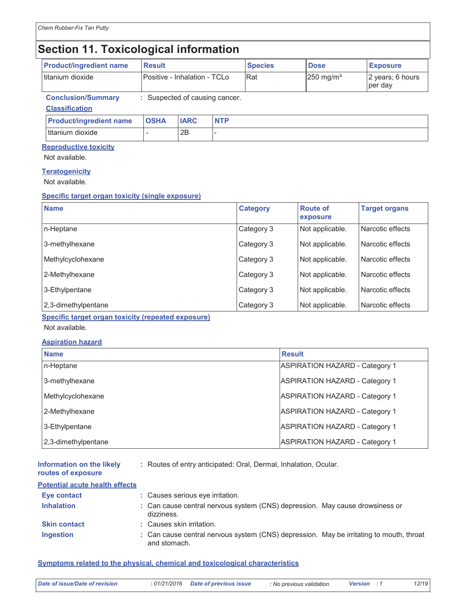# **Section 11. Toxicological information**

| <b>Product/ingredient name</b>                     | <b>Result</b>                  |             |            | <b>Species</b> | <b>Dose</b>             | <b>Exposure</b>             |
|----------------------------------------------------|--------------------------------|-------------|------------|----------------|-------------------------|-----------------------------|
| titanium dioxide                                   | Positive - Inhalation - TCLo   |             |            | <b>IRat</b>    | $250$ mg/m <sup>3</sup> | 2 years; 6 hours<br>per day |
| <b>Conclusion/Summary</b><br><b>Classification</b> | : Suspected of causing cancer. |             |            |                |                         |                             |
| <b>Product/ingredient name</b>                     | <b>OSHA</b>                    | <b>IARC</b> | <b>NTP</b> |                |                         |                             |
| titanium dioxide                                   |                                | 2B          |            |                |                         |                             |

## **Reproductive toxicity**

Not available.

## **Teratogenicity**

Not available.

## Specific target organ toxicity (single exposure)

| <b>Name</b>         | <b>Category</b> | <b>Route of</b><br>exposure | <b>Target organs</b> |
|---------------------|-----------------|-----------------------------|----------------------|
| n-Heptane           | Category 3      | Not applicable.             | Narcotic effects     |
| 3-methylhexane      | Category 3      | Not applicable.             | Narcotic effects     |
| Methylcyclohexane   | Category 3      | Not applicable.             | Narcotic effects     |
| 2-Methylhexane      | Category 3      | Not applicable.             | Narcotic effects     |
| 3-Ethylpentane      | Category 3      | Not applicable.             | Narcotic effects     |
| 2,3-dimethylpentane | Category 3      | Not applicable.             | Narcotic effects     |

Specific target organ toxicity (repeated exposure)

Not available.

## **Aspiration hazard**

| <b>Name</b>         | <b>Result</b>                         |
|---------------------|---------------------------------------|
| n-Heptane           | <b>ASPIRATION HAZARD - Category 1</b> |
| 3-methylhexane      | <b>ASPIRATION HAZARD - Category 1</b> |
| Methylcyclohexane   | <b>ASPIRATION HAZARD - Category 1</b> |
| 2-Methylhexane      | <b>ASPIRATION HAZARD - Category 1</b> |
| 3-Ethylpentane      | <b>ASPIRATION HAZARD - Category 1</b> |
| 2,3-dimethylpentane | <b>ASPIRATION HAZARD - Category 1</b> |

: Routes of entry anticipated: Oral, Dermal, Inhalation, Ocular. Information on the likely

## routes of exposure **Potential acute health effects**

| r olghliar aculg ngallir gheclo |                                                                                                         |
|---------------------------------|---------------------------------------------------------------------------------------------------------|
| Eye contact                     | : Causes serious eye irritation.                                                                        |
| <b>Inhalation</b>               | : Can cause central nervous system (CNS) depression. May cause drowsiness or<br>dizziness.              |
| <b>Skin contact</b>             | : Causes skin irritation.                                                                               |
| <b>Ingestion</b>                | : Can cause central nervous system (CNS) depression. May be irritating to mouth, throat<br>and stomach. |

## Symptoms related to the physical, chemical and toxicological characteristics

| : 01/21/2016 Date of previous issue<br>Date of issue/Date of revision<br>: No previous validation.<br><b>Version</b> : 1 |  |  |  |  |  |  | 12/19 |
|--------------------------------------------------------------------------------------------------------------------------|--|--|--|--|--|--|-------|
|--------------------------------------------------------------------------------------------------------------------------|--|--|--|--|--|--|-------|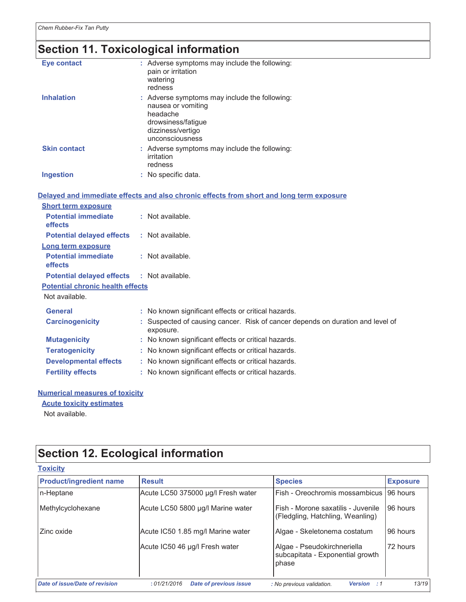# Section 11. Toxicological information

| <b>Eye contact</b>                      | : Adverse symptoms may include the following:<br>pain or irritation<br>watering<br>redness                                                    |
|-----------------------------------------|-----------------------------------------------------------------------------------------------------------------------------------------------|
| <b>Inhalation</b>                       | : Adverse symptoms may include the following:<br>nausea or vomiting<br>headache<br>drowsiness/fatigue<br>dizziness/vertigo<br>unconsciousness |
| <b>Skin contact</b>                     | : Adverse symptoms may include the following:<br>irritation<br>redness                                                                        |
| <b>Ingestion</b>                        | : No specific data.                                                                                                                           |
|                                         | Delayed and immediate effects and also chronic effects from short and long term exposure                                                      |
| <b>Short term exposure</b>              |                                                                                                                                               |
| <b>Potential immediate</b><br>effects   | : Not available.                                                                                                                              |
| <b>Potential delayed effects</b>        | : Not available.                                                                                                                              |
| Long term exposure                      |                                                                                                                                               |
| <b>Potential immediate</b><br>effects   | : Not available.                                                                                                                              |
| <b>Potential delayed effects</b>        | : Not available.                                                                                                                              |
| <b>Potential chronic health effects</b> |                                                                                                                                               |
| Not available.                          |                                                                                                                                               |
| <b>General</b>                          | : No known significant effects or critical hazards.                                                                                           |
| <b>Carcinogenicity</b>                  | : Suspected of causing cancer. Risk of cancer depends on duration and level of<br>exposure.                                                   |
| <b>Mutagenicity</b>                     | : No known significant effects or critical hazards.                                                                                           |
| <b>Teratogenicity</b>                   | : No known significant effects or critical hazards.                                                                                           |
| <b>Developmental effects</b>            | : No known significant effects or critical hazards.                                                                                           |
| <b>Fertility effects</b>                | : No known significant effects or critical hazards.                                                                                           |
|                                         |                                                                                                                                               |

## **Numerical measures of toxicity Acute toxicity estimates**

Not available.

# Section 12. Ecological information

| <b>Toxicity</b>                       |                                              |                                                                          |                 |
|---------------------------------------|----------------------------------------------|--------------------------------------------------------------------------|-----------------|
| <b>Product/ingredient name</b>        | <b>Result</b>                                | <b>Species</b>                                                           | <b>Exposure</b> |
| n-Heptane                             | Acute LC50 375000 µg/l Fresh water           | Fish - Oreochromis mossambicus                                           | 96 hours        |
| Methylcyclohexane                     | Acute LC50 5800 µg/l Marine water            | Fish - Morone saxatilis - Juvenile<br>(Fledgling, Hatchling, Weanling)   | 96 hours        |
| Zinc oxide                            | Acute IC50 1.85 mg/l Marine water            | Algae - Skeletonema costatum                                             | 96 hours        |
|                                       | Acute IC50 46 µg/l Fresh water               | Algae - Pseudokirchneriella<br>subcapitata - Exponential growth<br>phase | 72 hours        |
| <b>Date of issue/Date of revision</b> | :01/21/2016<br><b>Date of previous issue</b> | : No previous validation.<br><b>Version</b><br>.: 1                      | 13/19           |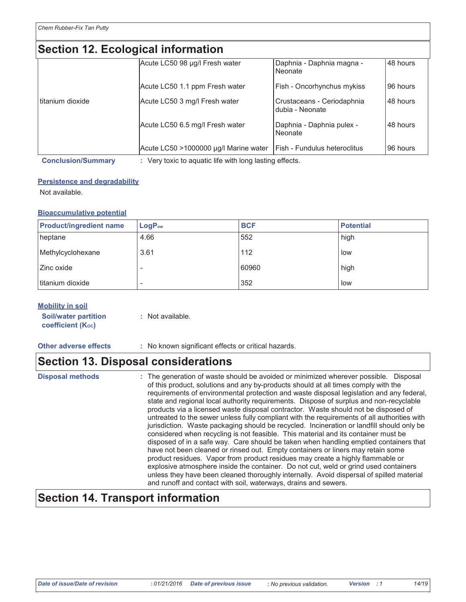# Section 12 Ecological information

|                           | UGUNUN TZ. LUUNUYIUAI IIIIUNIIANUNI   |                                                         |          |  |  |  |  |  |
|---------------------------|---------------------------------------|---------------------------------------------------------|----------|--|--|--|--|--|
|                           | Acute LC50 98 µg/l Fresh water        | Daphnia - Daphnia magna -<br>Neonate                    | 48 hours |  |  |  |  |  |
|                           | Acute LC50 1.1 ppm Fresh water        | Fish - Oncorhynchus mykiss                              | 96 hours |  |  |  |  |  |
| Ititanium dioxide         | Acute LC50 3 mg/l Fresh water         | Crustaceans - Ceriodaphnia<br>dubia - Neonate           | 48 hours |  |  |  |  |  |
|                           | Acute LC50 6.5 mg/l Fresh water       | Daphnia - Daphnia pulex -<br>Neonate                    | 48 hours |  |  |  |  |  |
|                           | Acute LC50 >1000000 µg/l Marine water | Fish - Fundulus heteroclitus                            | 96 hours |  |  |  |  |  |
| <b>Conclusion/Summary</b> |                                       | : Very toxic to aquatic life with long lasting effects. |          |  |  |  |  |  |

## **Persistence and degradability**

Not available.

## **Bioaccumulative potential**

| <b>Product/ingredient name</b> | LogP <sub>ow</sub> | <b>BCF</b> | <b>Potential</b> |
|--------------------------------|--------------------|------------|------------------|
| heptane                        | 4.66               | 552        | high             |
| Methylcyclohexane              | 3.61               | 112        | low              |
| <b>Zinc oxide</b>              |                    | 60960      | high             |
| titanium dioxide               |                    | 352        | low              |

| <b>Mobility in soil</b> |  |
|-------------------------|--|
|-------------------------|--|

| <b>Soil/water partition</b> | : Not available. |
|-----------------------------|------------------|
| <b>coefficient (Koc)</b>    |                  |

**Other adverse effects** 

: No known significant effects or critical hazards.

## **Section 13. Disposal considerations**

**Disposal methods** 

: The generation of waste should be avoided or minimized wherever possible. Disposal of this product, solutions and any by-products should at all times comply with the requirements of environmental protection and waste disposal legislation and any federal, state and regional local authority requirements. Dispose of surplus and non-recyclable products via a licensed waste disposal contractor. Waste should not be disposed of untreated to the sewer unless fully compliant with the requirements of all authorities with jurisdiction. Waste packaging should be recycled. Incineration or landfill should only be considered when recycling is not feasible. This material and its container must be disposed of in a safe way. Care should be taken when handling emptied containers that have not been cleaned or rinsed out. Empty containers or liners may retain some product residues. Vapor from product residues may create a highly flammable or explosive atmosphere inside the container. Do not cut, weld or grind used containers unless they have been cleaned thoroughly internally. Avoid dispersal of spilled material and runoff and contact with soil, waterways, drains and sewers.

# **Section 14. Transport information**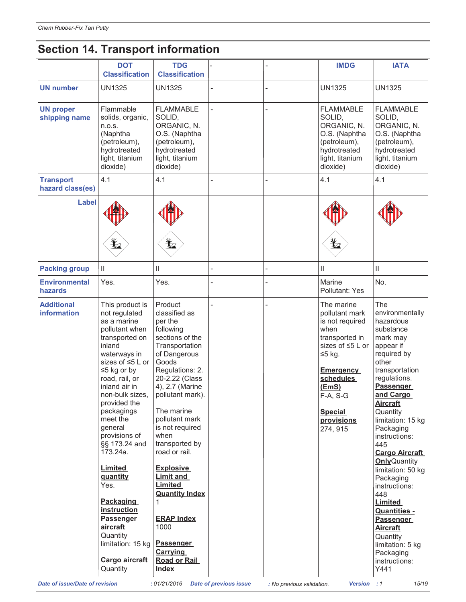# **Section 14. Transport information**

|                                       | <b>DOT</b><br><b>Classification</b>                                                                                                                                                                                                                                                                                                                                                                                                                                                           | <b>TDG</b><br><b>Classification</b>                                                                                                                                                                                                                                                                                                                                                                                                                                                  |                               |                           | <b>IMDG</b>                                                                                                                                                                                               | <b>IATA</b>                                                                                                                                                                                                                                                                                                                                                                                                                                                                                                                    |
|---------------------------------------|-----------------------------------------------------------------------------------------------------------------------------------------------------------------------------------------------------------------------------------------------------------------------------------------------------------------------------------------------------------------------------------------------------------------------------------------------------------------------------------------------|--------------------------------------------------------------------------------------------------------------------------------------------------------------------------------------------------------------------------------------------------------------------------------------------------------------------------------------------------------------------------------------------------------------------------------------------------------------------------------------|-------------------------------|---------------------------|-----------------------------------------------------------------------------------------------------------------------------------------------------------------------------------------------------------|--------------------------------------------------------------------------------------------------------------------------------------------------------------------------------------------------------------------------------------------------------------------------------------------------------------------------------------------------------------------------------------------------------------------------------------------------------------------------------------------------------------------------------|
| <b>UN number</b>                      | <b>UN1325</b>                                                                                                                                                                                                                                                                                                                                                                                                                                                                                 | <b>UN1325</b>                                                                                                                                                                                                                                                                                                                                                                                                                                                                        |                               |                           | <b>UN1325</b>                                                                                                                                                                                             | <b>UN1325</b>                                                                                                                                                                                                                                                                                                                                                                                                                                                                                                                  |
| <b>UN proper</b><br>shipping name     | Flammable<br>solids, organic,<br>n.o.s.<br>(Naphtha<br>(petroleum),<br>hydrotreated<br>light, titanium<br>dioxide)                                                                                                                                                                                                                                                                                                                                                                            | <b>FLAMMABLE</b><br>SOLID,<br>ORGANIC, N.<br>O.S. (Naphtha<br>(petroleum),<br>hydrotreated<br>light, titanium<br>dioxide)                                                                                                                                                                                                                                                                                                                                                            |                               |                           | <b>FLAMMABLE</b><br>SOLID,<br>ORGANIC, N.<br>O.S. (Naphtha<br>(petroleum),<br>hydrotreated<br>light, titanium<br>dioxide)                                                                                 | <b>FLAMMABLE</b><br>SOLID,<br>ORGANIC, N.<br>O.S. (Naphtha<br>(petroleum),<br>hydrotreated<br>light, titanium<br>dioxide)                                                                                                                                                                                                                                                                                                                                                                                                      |
| <b>Transport</b><br>hazard class(es)  | 4.1                                                                                                                                                                                                                                                                                                                                                                                                                                                                                           | 4.1                                                                                                                                                                                                                                                                                                                                                                                                                                                                                  |                               |                           | 4.1                                                                                                                                                                                                       | 4.1                                                                                                                                                                                                                                                                                                                                                                                                                                                                                                                            |
| <b>Label</b>                          | Ľ,                                                                                                                                                                                                                                                                                                                                                                                                                                                                                            | Ļ,                                                                                                                                                                                                                                                                                                                                                                                                                                                                                   |                               |                           | ≵                                                                                                                                                                                                         |                                                                                                                                                                                                                                                                                                                                                                                                                                                                                                                                |
| <b>Packing group</b>                  | Ш                                                                                                                                                                                                                                                                                                                                                                                                                                                                                             | Ш                                                                                                                                                                                                                                                                                                                                                                                                                                                                                    |                               |                           | Ш                                                                                                                                                                                                         | $\mathop{\rm II}\nolimits$                                                                                                                                                                                                                                                                                                                                                                                                                                                                                                     |
| <b>Environmental</b><br>hazards       | Yes.                                                                                                                                                                                                                                                                                                                                                                                                                                                                                          | Yes.                                                                                                                                                                                                                                                                                                                                                                                                                                                                                 |                               |                           | Marine<br>Pollutant: Yes                                                                                                                                                                                  | No.                                                                                                                                                                                                                                                                                                                                                                                                                                                                                                                            |
| <b>Additional</b><br>information      | This product is<br>not regulated<br>as a marine<br>pollutant when<br>transported on<br>inland<br>waterways in<br>sizes of $\leq 5$ L or<br>$\leq$ 5 kg or by<br>road, rail, or<br>inland air in<br>non-bulk sizes,<br>provided the<br>packagings<br>meet the<br>general<br>provisions of<br>§§ 173.24 and<br>173.24a.<br><b>Limited</b><br>quantity<br>Yes.<br><b>Packaging</b><br>instruction<br><b>Passenger</b><br>aircraft<br>Quantity<br>limitation: 15 kg<br>Cargo aircraft<br>Quantity | Product<br>classified as<br>per the<br>following<br>sections of the<br>Transportation<br>of Dangerous<br>Goods<br>Regulations: 2.<br>20-2.22 (Class<br>4), 2.7 (Marine<br>pollutant mark).<br>The marine<br>pollutant mark<br>is not required<br>when<br>transported by<br>road or rail.<br><b>Explosive</b><br><b>Limit and</b><br><b>Limited</b><br><b>Quantity Index</b><br>1<br><b>ERAP Index</b><br>1000<br><b>Passenger</b><br><b>Carrying</b><br>Road or Rail<br><b>Index</b> |                               |                           | The marine<br>pollutant mark<br>is not required<br>when<br>transported in<br>sizes of ≤5 L or<br>≤5 kg.<br><b>Emergency</b><br>schedules<br>(EmS)<br>F-A, S-G<br><b>Special</b><br>provisions<br>274, 915 | The<br>environmentally<br>hazardous<br>substance<br>mark may<br>appear if<br>required by<br>other<br>transportation<br>regulations.<br><b>Passenger</b><br>and Cargo<br><u>Aircraft</u><br>Quantity<br>limitation: 15 kg<br>Packaging<br>instructions:<br>445<br><b>Cargo Aircraft</b><br><b>Only</b> Quantity<br>limitation: 50 kg<br>Packaging<br>instructions:<br>448<br><b>Limited</b><br><b>Quantities -</b><br><b>Passenger</b><br><b>Aircraft</b><br>Quantity<br>limitation: 5 kg<br>Packaging<br>instructions:<br>Y441 |
| <b>Date of issue/Date of revision</b> |                                                                                                                                                                                                                                                                                                                                                                                                                                                                                               | : 01/21/2016                                                                                                                                                                                                                                                                                                                                                                                                                                                                         | <b>Date of previous issue</b> | : No previous validation. | Version : 1                                                                                                                                                                                               | 15/19                                                                                                                                                                                                                                                                                                                                                                                                                                                                                                                          |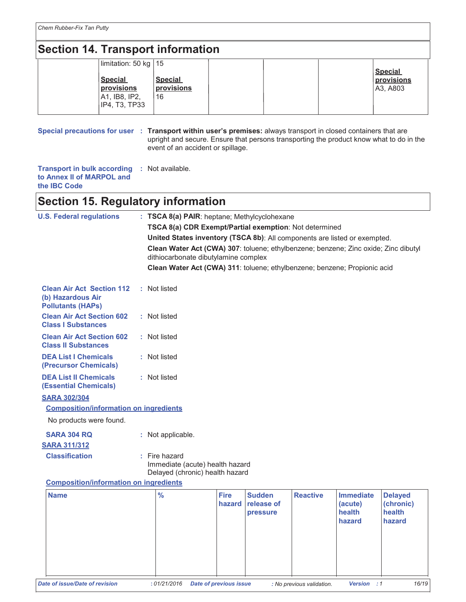# **Section 14. Transport information**

| limitation: 50 kg   15 |                |  |                |
|------------------------|----------------|--|----------------|
|                        |                |  | <b>Special</b> |
| <b>Special</b>         | <b>Special</b> |  | provisions     |
| provisions             | provisions     |  | A3, A803       |
| A1, IB8, IP2,          | 16             |  |                |
| IP4, T3, TP33          |                |  |                |
|                        |                |  |                |

Special precautions for user : Transport within user's premises: always transport in closed containers that are upright and secure. Ensure that persons transporting the product know what to do in the event of an accident or spillage.

Transport in bulk according : Not available. to Annex II of MARPOL and the IBC Code

# **Section 15. Regulatory information**

| <b>U.S. Federal regulations</b>                                                   | : TSCA 8(a) PAIR: heptane; Methylcyclohexane                                                                                |                       |                             |                 |                             |                             |  |
|-----------------------------------------------------------------------------------|-----------------------------------------------------------------------------------------------------------------------------|-----------------------|-----------------------------|-----------------|-----------------------------|-----------------------------|--|
|                                                                                   | TSCA 8(a) CDR Exempt/Partial exemption: Not determined                                                                      |                       |                             |                 |                             |                             |  |
|                                                                                   | United States inventory (TSCA 8b): All components are listed or exempted.                                                   |                       |                             |                 |                             |                             |  |
|                                                                                   | Clean Water Act (CWA) 307: toluene; ethylbenzene; benzene; Zinc oxide; Zinc dibutyl<br>dithiocarbonate dibutylamine complex |                       |                             |                 |                             |                             |  |
|                                                                                   | Clean Water Act (CWA) 311: toluene; ethylbenzene; benzene; Propionic acid                                                   |                       |                             |                 |                             |                             |  |
| <b>Clean Air Act Section 112</b><br>(b) Hazardous Air<br><b>Pollutants (HAPs)</b> | : Not listed                                                                                                                |                       |                             |                 |                             |                             |  |
| <b>Clean Air Act Section 602</b><br><b>Class I Substances</b>                     | : Not listed                                                                                                                |                       |                             |                 |                             |                             |  |
| <b>Clean Air Act Section 602</b><br><b>Class II Substances</b>                    | : Not listed                                                                                                                |                       |                             |                 |                             |                             |  |
| <b>DEA List I Chemicals</b><br>(Precursor Chemicals)                              | : Not listed                                                                                                                |                       |                             |                 |                             |                             |  |
| <b>DEA List II Chemicals</b><br><b>(Essential Chemicals)</b>                      | : Not listed                                                                                                                |                       |                             |                 |                             |                             |  |
| <b>SARA 302/304</b>                                                               |                                                                                                                             |                       |                             |                 |                             |                             |  |
| <b>Composition/information on ingredients</b>                                     |                                                                                                                             |                       |                             |                 |                             |                             |  |
| No products were found.                                                           |                                                                                                                             |                       |                             |                 |                             |                             |  |
| <b>SARA 304 RQ</b>                                                                | : Not applicable.                                                                                                           |                       |                             |                 |                             |                             |  |
| <b>SARA 311/312</b>                                                               |                                                                                                                             |                       |                             |                 |                             |                             |  |
| <b>Classification</b>                                                             | Fire hazard<br>Immediate (acute) health hazard<br>Delayed (chronic) health hazard                                           |                       |                             |                 |                             |                             |  |
| <b>Composition/information on ingredients</b>                                     |                                                                                                                             |                       |                             |                 |                             |                             |  |
| <b>Name</b>                                                                       | $\frac{9}{6}$                                                                                                               | <b>Fire</b><br>hazard | <b>Sudden</b><br>release of | <b>Reactive</b> | <b>Immediate</b><br>(acute) | <b>Delayed</b><br>(chronic) |  |

|                                       | 70          | .<br>hazard                   | <u>vuuuvii</u><br><b>release of</b><br><b>pressure</b> | 1177878                   | ------------<br>(acute)<br>health<br>hazard | <b>Dolugou</b><br>(chronic)<br>health<br>hazard |       |
|---------------------------------------|-------------|-------------------------------|--------------------------------------------------------|---------------------------|---------------------------------------------|-------------------------------------------------|-------|
| <b>Date of issue/Date of revision</b> | :01/21/2016 | <b>Date of previous issue</b> |                                                        | : No previous validation. | Version : 1                                 |                                                 | 16/19 |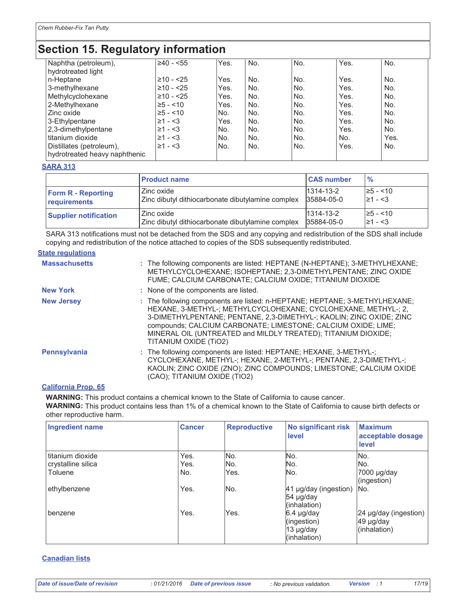# **Section 15. Regulatory information**

| Naphtha (petroleum),<br>hydrotreated light                | i≥40 - <55     | Yes. | No. | No. | Yes. | No.  |  |
|-----------------------------------------------------------|----------------|------|-----|-----|------|------|--|
| n-Heptane                                                 | i≥10 - <25     | Yes. | No. | No. | Yes. | No.  |  |
| 3-methylhexane                                            | $≥10 - 25$     | Yes. | No. | No. | Yes. | No.  |  |
| Methylcyclohexane                                         | $\geq 10 - 25$ | Yes. | No. | No. | Yes. | No.  |  |
| 2-Methylhexane                                            | $\geq 5 - 10$  | Yes. | No. | No. | Yes. | No.  |  |
| Zinc oxide                                                | $\geq 5 - 10$  | No.  | No. | No. | Yes. | No.  |  |
| 3-Ethylpentane                                            | $\geq 1 - 3$   | Yes. | No. | No. | Yes. | No.  |  |
| 2,3-dimethylpentane                                       | $\geq 1 - 3$   | No.  | No. | No. | Yes. | No.  |  |
| titanium dioxide                                          | $\geq 1 - 3$   | No.  | No. | No. | No.  | Yes. |  |
| Distillates (petroleum),<br>hydrotreated heavy naphthenic | $\geq 1 - 3$   | No.  | No. | No. | Yes. | No.  |  |

### **SARA 313**

|                              | <b>Product name</b>                               | <b>CAS number</b> | $\frac{9}{6}$ |
|------------------------------|---------------------------------------------------|-------------------|---------------|
| <b>Form R - Reporting</b>    | Zinc oxide                                        | 1314-13-2         | $\ge$ 5 - <10 |
| requirements                 | Zinc dibutyl dithiocarbonate dibutylamine complex | 35884-05-0        | $\geq 1 - 3$  |
| <b>Supplier notification</b> | Zinc oxide                                        | $1314 - 13 - 2$   | $\ge$ 5 - <10 |
|                              | Zinc dibutyl dithiocarbonate dibutylamine complex | 35884-05-0        | $\geq 1 - 3$  |

SARA 313 notifications must not be detached from the SDS and any copying and redistribution of the SDS shall include copying and redistribution of the notice attached to copies of the SDS subsequently redistributed.

### **State requlations**

| <b>Massachusetts</b> | : The following components are listed: HEPTANE (N-HEPTANE); 3-METHYLHEXANE;<br>METHYLCYCLOHEXANE; ISOHEPTANE; 2,3-DIMETHYLPENTANE; ZINC OXIDE<br>FUME; CALCIUM CARBONATE; CALCIUM OXIDE; TITANIUM DIOXIDE                                                                                                                                                                      |
|----------------------|--------------------------------------------------------------------------------------------------------------------------------------------------------------------------------------------------------------------------------------------------------------------------------------------------------------------------------------------------------------------------------|
| <b>New York</b>      | : None of the components are listed.                                                                                                                                                                                                                                                                                                                                           |
| <b>New Jersey</b>    | : The following components are listed: n-HEPTANE; HEPTANE; 3-METHYLHEXANE;<br>HEXANE, 3-METHYL-: METHYLCYCLOHEXANE: CYCLOHEXANE, METHYL-: 2.<br>3-DIMETHYLPENTANE; PENTANE, 2,3-DIMETHYL-; KAOLIN; ZINC OXIDE; ZINC<br>compounds; CALCIUM CARBONATE; LIMESTONE; CALCIUM OXIDE; LIME;<br>MINERAL OIL (UNTREATED and MILDLY TREATED); TITANIUM DIOXIDE;<br>TITANIUM OXIDE (TIO2) |
| <b>Pennsylvania</b>  | : The following components are listed: HEPTANE; HEXANE, 3-METHYL-;<br>CYCLOHEXANE, METHYL-; HEXANE, 2-METHYL-; PENTANE, 2,3-DIMETHYL-;<br>KAOLIN; ZINC OXIDE (ZNO); ZINC COMPOUNDS; LIMESTONE; CALCIUM OXIDE<br>(CAO); TITANIUM OXIDE (TIO2)                                                                                                                                   |

## **California Prop. 65**

WARNING: This product contains a chemical known to the State of California to cause cancer. WARNING: This product contains less than 1% of a chemical known to the State of California to cause birth defects or other reproductive harm.

| <b>Ingredient name</b>                            | <b>Cancer</b>       | <b>Reproductive</b> | <b>No significant risk</b><br>level                    | <b>Maximum</b><br>acceptable dosage<br>level       |
|---------------------------------------------------|---------------------|---------------------|--------------------------------------------------------|----------------------------------------------------|
| titanium dioxide<br>crystalline silica<br>Toluene | Yes.<br>Yes.<br>No. | No.<br>No.<br>Yes.  | No.<br>No.<br>No.                                      | lNo.<br>lNo.<br>7000 µg/day<br>(ingestion)         |
| ethylbenzene                                      | Yes.                | IN <sub>o</sub>     | 41 µg/day (ingestion)<br>54 µg/day<br>(inhalation)     | No.                                                |
| benzene                                           | Yes.                | Yes.                | 6.4 µg/day<br>(ingestion)<br>13 µg/day<br>(inhalation) | 24 µg/day (ingestion)<br>49 µg/day<br>(inhalation) |

## **Canadian lists**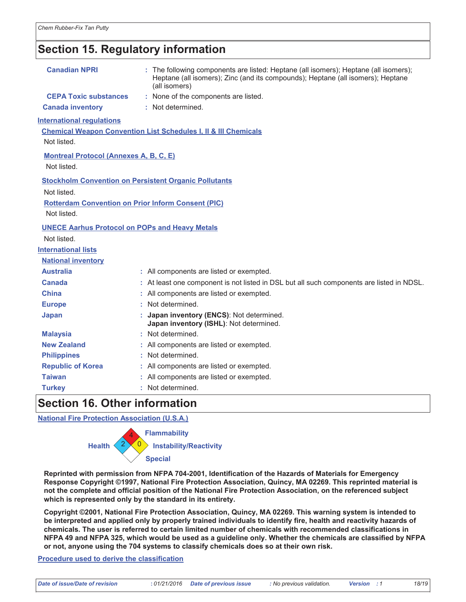# **Section 15. Regulatory information**

| <b>Canadian NPRI</b>                                                                               | : The following components are listed: Heptane (all isomers); Heptane (all isomers);<br>Heptane (all isomers); Zinc (and its compounds); Heptane (all isomers); Heptane<br>(all isomers) |
|----------------------------------------------------------------------------------------------------|------------------------------------------------------------------------------------------------------------------------------------------------------------------------------------------|
| <b>CEPA Toxic substances</b>                                                                       | : None of the components are listed.                                                                                                                                                     |
| <b>Canada inventory</b>                                                                            | : Not determined.                                                                                                                                                                        |
| <b>International regulations</b><br>Not listed.                                                    | <b>Chemical Weapon Convention List Schedules I, II &amp; III Chemicals</b>                                                                                                               |
| <b>Montreal Protocol (Annexes A, B, C, E)</b><br>Not listed.                                       |                                                                                                                                                                                          |
| Not listed.<br><b>Rotterdam Convention on Prior Inform Consent (PIC)</b><br>Not listed.            | <b>Stockholm Convention on Persistent Organic Pollutants</b>                                                                                                                             |
| <b>UNECE Aarhus Protocol on POPs and Heavy Metals</b><br>Not listed.<br><b>International lists</b> |                                                                                                                                                                                          |
| <b>National inventory</b>                                                                          |                                                                                                                                                                                          |
| <b>Australia</b>                                                                                   | : All components are listed or exempted.                                                                                                                                                 |
| Canada                                                                                             | : At least one component is not listed in DSL but all such components are listed in NDSL.                                                                                                |
| China                                                                                              | : All components are listed or exempted.                                                                                                                                                 |
| <b>Europe</b>                                                                                      | : Not determined.                                                                                                                                                                        |
| <b>Japan</b>                                                                                       | : Japan inventory (ENCS): Not determined.<br>Japan inventory (ISHL): Not determined.                                                                                                     |
| <b>Malaysia</b>                                                                                    | : Not determined.                                                                                                                                                                        |
| <b>New Zealand</b>                                                                                 | : All components are listed or exempted.                                                                                                                                                 |
| <b>Philippines</b>                                                                                 | : Not determined.                                                                                                                                                                        |
| <b>Republic of Korea</b>                                                                           | : All components are listed or exempted.                                                                                                                                                 |
| <b>Taiwan</b>                                                                                      | : All components are listed or exempted.                                                                                                                                                 |
| <b>Turkey</b>                                                                                      | : Not determined.                                                                                                                                                                        |
| $0 = 11 = 40$ $0 = 10$                                                                             |                                                                                                                                                                                          |

## Section 16. Other Information

**National Fire Protection Association (U.S.A.)** 



Reprinted with permission from NFPA 704-2001, Identification of the Hazards of Materials for Emergency Response Copyright ©1997, National Fire Protection Association, Quincy, MA 02269. This reprinted material is not the complete and official position of the National Fire Protection Association, on the referenced subject which is represented only by the standard in its entirety.

Copyright ©2001, National Fire Protection Association, Quincy, MA 02269. This warning system is intended to be interpreted and applied only by properly trained individuals to identify fire, health and reactivity hazards of chemicals. The user is referred to certain limited number of chemicals with recommended classifications in NFPA 49 and NFPA 325, which would be used as a guideline only. Whether the chemicals are classified by NFPA or not, anyone using the 704 systems to classify chemicals does so at their own risk.

#### Procedure used to derive the classification